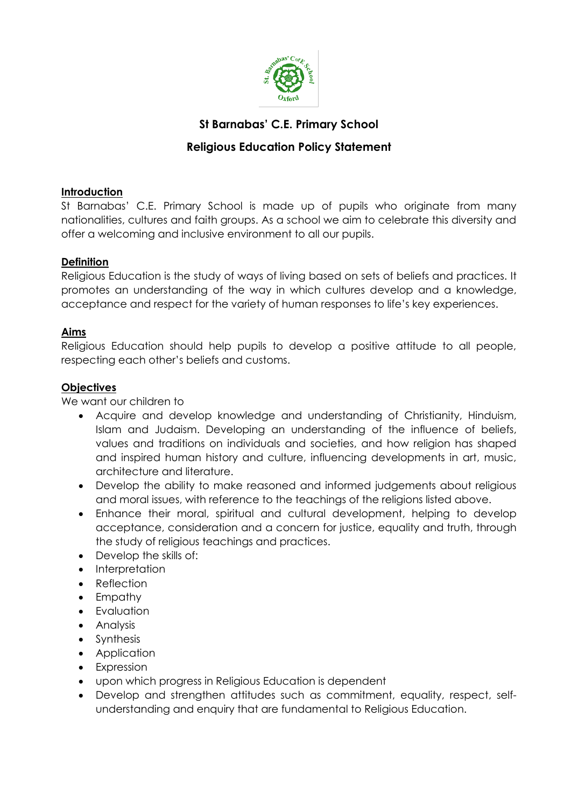

# **St Barnabas' C.E. Primary School**

## **Religious Education Policy Statement**

## **Introduction**

St Barnabas' C.E. Primary School is made up of pupils who originate from many nationalities, cultures and faith groups. As a school we aim to celebrate this diversity and offer a welcoming and inclusive environment to all our pupils.

### **Definition**

Religious Education is the study of ways of living based on sets of beliefs and practices. It promotes an understanding of the way in which cultures develop and a knowledge, acceptance and respect for the variety of human responses to life's key experiences.

### **Aims**

Religious Education should help pupils to develop a positive attitude to all people, respecting each other's beliefs and customs.

### **Objectives**

We want our children to

- Acquire and develop knowledge and understanding of Christianity, Hinduism, Islam and Judaism. Developing an understanding of the influence of beliefs, values and traditions on individuals and societies, and how religion has shaped and inspired human history and culture, influencing developments in art, music, architecture and literature.
- Develop the ability to make reasoned and informed judgements about religious and moral issues, with reference to the teachings of the religions listed above.
- Enhance their moral, spiritual and cultural development, helping to develop acceptance, consideration and a concern for justice, equality and truth, through the study of religious teachings and practices.
- Develop the skills of:
- Interpretation
- Reflection
- Empathy
- Evaluation
- Analysis
- Synthesis
- Application
- Expression
- upon which progress in Religious Education is dependent
- Develop and strengthen attitudes such as commitment, equality, respect, selfunderstanding and enquiry that are fundamental to Religious Education.